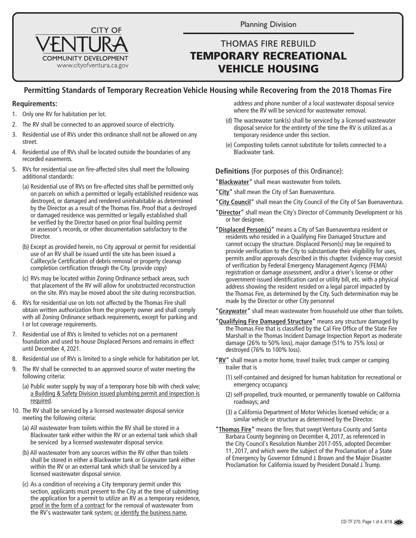Planning Division

## THOMAS FIRE REBUILD TEMPORARY RECREATIONAL VEHICLE HOUSING

### **Permitting Standards of Temporary Recreation Vehicle Housing while Recovering from the 2018 Thomas Fire**

#### **Requirements:**

- 1. Only one RV for habitation per lot.
- 2. The RV shall be connected to an approved source of electricity.

**COMMUNITY DEVELOPMENT** www.cityofventura.ca.gov

3. Residential use of RVs under this ordinance shall not be allowed on any street.

**CITY OF** 

- 4. Residential use of RVs shall be located outside the boundaries of any recorded easements.
- 5. RVs for residential use on fire-affected sites shall meet the following additional standards:
	- (a) Residential use of RVs on fire-affected sites shall be permitted only on parcels on which a permitted or legally established residence was destroyed, or damaged and rendered uninhabitable as determined by the Director as a result of the Thomas Fire. Proof that a destroyed or damaged residence was permitted or legally established shall be verified by the Director based on prior final building permit or assessor's records, or other documentation satisfactory to the Director.
	- (b) Except as provided herein, no City approval or permit for residential use of an RV shall be issued until the site has been issued a CalRecycle Certification of debris removal or property cleanup completion certification through the City. (provide copy)
	- (c) RVs may be located within Zoning Ordinance setback areas, such that placement of the RV will allow for unobstructed reconstruction on the site. RVs may be moved about the site during reconstruction.
- 6. RVs for residential use on lots not affected by the Thomas Fire shall obtain written authorization from the property owner and shall comply with all Zoning Ordinance setback requirements, except for parking and I or lot coverage requirements.
- 7. Residential use of RVs is limited to vehicles not on a permanent foundation and used to house Displaced Persons and remains in effect until December 4, 2021.
- 8. Residential use of RVs is limited to a single vehicle for habitation per lot.
- 9. The RV shall be connected to an approved source of water meeting the following criteria:
	- (a) Public water supply by way of a temporary hose bib with check valve; a Building & Safety Division issued plumbing permit and inspection is required.
- 10. The RV shall be serviced by a licensed wastewater disposal service meeting the following criteria:
	- (a) All wastewater from toilets within the RV shall be stored in a Blackwater tank either within the RV or an external tank which shall be serviced by a licensed wastewater disposal service.
	- (b) All wastewater from any sources within the RV other than toilets shall be stored in either a Blackwater tank or Graywater tank either within the RV or an external tank which shall be serviced by a licensed wastewater disposal service.
	- (c) As a condition of receiving a City temporary permit under this section, applicants must present to the City at the time of submitting the application for a permit to utilize an RV as a temporary residence, proof in the form of a contract for the removal of wastewater from the RV's wastewater tank system; or identify the business name,

address and phone number of a local wastewater disposal service where the RV will be serviced for wastewater removal.

- (d) The wastewater tank(s) shall be serviced by a licensed wastewater disposal service for the entirety of the time the RV is utilized as a temporary residence under this section.
- (e) Composting toilets cannot substitute for toilets connected to a Blackwater tank.

### **Definitions** (For purposes of this Ordinance):

**"Blackwater"** shall mean wastewater from toilets.

- **"City"** shall mean the City of San Buenaventura.
- **"City Council"** shall mean the City Council of the City of San Buenaventura.
- **"Director"** shall mean the City's Director of Community Development or his or her designee.
- **"Displaced Person(s)"** means a City of San Buenaventura resident or residents who resided in a Qualifying Fire Damaged Structure and cannot occupy the structure. Displaced Person(s) may be required to provide verification to the City to substantiate their eligibility for uses, permits and/or approvals described in this chapter. Evidence may consist of verification by Federal Emergency Management Agency (FEMA) registration or damage assessment, and/or a driver's license or other government-issued identification card or utility bill, etc. with a physical address showing the resident resided on a legal parcel impacted by the Thomas Fire, as determined by the City. Such determination may be made by the Director or other City personnel

**"Graywater"** shall mean wastewater from household use other than toilets.

- **"Qualifying Fire Damaged Structure"** means any structure damaged by the Thomas Fire that is classified by the Cal Fire Office of the State Fire Marshall in the Thomas Incident Damage Inspection Report as moderate damage (26% to 50% loss), major damage (51% to 75% loss) or destroyed (76% to 100% loss).
- **"RV"** shall mean a motor home, travel trailer, truck camper or camping trailer that is
	- (1) self-contained and designed for human habitation for recreational or emergency occupancy.
	- (2) self-propelled, truck-mounted, or permanently towable on California roadways; and
	- (3) a California Department of Motor Vehicles licensed vehicle; or a similar vehicle or structure as determined by the Director.

**"Thomas Fire"** means the fires that swept Ventura County and Santa Barbara County beginning on December 4, 2017, as referenced in the City Council's Resolution Number 2017-055, adopted December 11, 2017, and which were the subject of the Proclamation of a State of Emergency by Governor Edmund J. Brown and the Major Disaster Proclamation for California issued by President Donald J. Trump.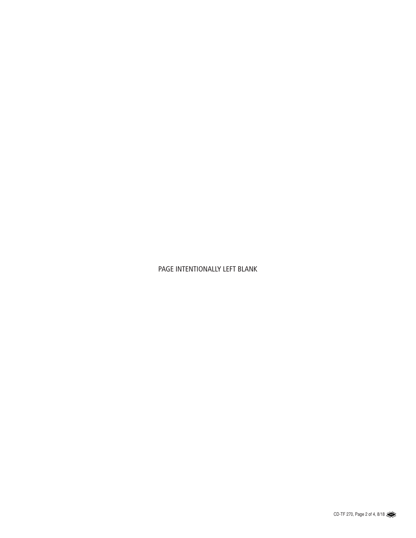### PAGE INTENTIONALLY LEFT BLANK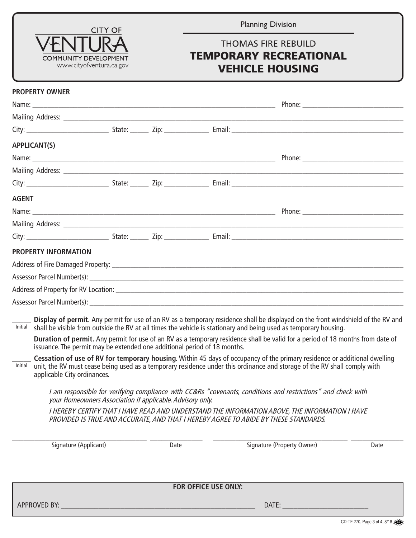

Planning Division

# THOMAS FIRE REBUILD TEMPORARY RECREATIONAL VEHICLE HOUSING

|                                                                                                                                                                           | <b>PROPERTY OWNER</b>                                                                                                                                                                                                                                 |  |      |  |                                                                                                                                                                                                                                                      |      |  |  |
|---------------------------------------------------------------------------------------------------------------------------------------------------------------------------|-------------------------------------------------------------------------------------------------------------------------------------------------------------------------------------------------------------------------------------------------------|--|------|--|------------------------------------------------------------------------------------------------------------------------------------------------------------------------------------------------------------------------------------------------------|------|--|--|
|                                                                                                                                                                           |                                                                                                                                                                                                                                                       |  |      |  |                                                                                                                                                                                                                                                      |      |  |  |
|                                                                                                                                                                           |                                                                                                                                                                                                                                                       |  |      |  |                                                                                                                                                                                                                                                      |      |  |  |
|                                                                                                                                                                           |                                                                                                                                                                                                                                                       |  |      |  |                                                                                                                                                                                                                                                      |      |  |  |
|                                                                                                                                                                           | <b>APPLICANT(S)</b>                                                                                                                                                                                                                                   |  |      |  |                                                                                                                                                                                                                                                      |      |  |  |
|                                                                                                                                                                           |                                                                                                                                                                                                                                                       |  |      |  |                                                                                                                                                                                                                                                      |      |  |  |
|                                                                                                                                                                           |                                                                                                                                                                                                                                                       |  |      |  |                                                                                                                                                                                                                                                      |      |  |  |
|                                                                                                                                                                           |                                                                                                                                                                                                                                                       |  |      |  |                                                                                                                                                                                                                                                      |      |  |  |
| <b>AGENT</b>                                                                                                                                                              |                                                                                                                                                                                                                                                       |  |      |  |                                                                                                                                                                                                                                                      |      |  |  |
|                                                                                                                                                                           |                                                                                                                                                                                                                                                       |  |      |  |                                                                                                                                                                                                                                                      |      |  |  |
|                                                                                                                                                                           |                                                                                                                                                                                                                                                       |  |      |  |                                                                                                                                                                                                                                                      |      |  |  |
|                                                                                                                                                                           |                                                                                                                                                                                                                                                       |  |      |  |                                                                                                                                                                                                                                                      |      |  |  |
|                                                                                                                                                                           | <b>PROPERTY INFORMATION</b>                                                                                                                                                                                                                           |  |      |  |                                                                                                                                                                                                                                                      |      |  |  |
|                                                                                                                                                                           |                                                                                                                                                                                                                                                       |  |      |  |                                                                                                                                                                                                                                                      |      |  |  |
|                                                                                                                                                                           |                                                                                                                                                                                                                                                       |  |      |  |                                                                                                                                                                                                                                                      |      |  |  |
|                                                                                                                                                                           |                                                                                                                                                                                                                                                       |  |      |  |                                                                                                                                                                                                                                                      |      |  |  |
|                                                                                                                                                                           |                                                                                                                                                                                                                                                       |  |      |  |                                                                                                                                                                                                                                                      |      |  |  |
| Initial                                                                                                                                                                   |                                                                                                                                                                                                                                                       |  |      |  | Display of permit. Any permit for use of an RV as a temporary residence shall be displayed on the front windshield of the RV and<br>shall be visible from outside the RV at all times the vehicle is stationary and being used as temporary housing. |      |  |  |
|                                                                                                                                                                           | issuance. The permit may be extended one additional period of 18 months.                                                                                                                                                                              |  |      |  | Duration of permit. Any permit for use of an RV as a temporary residence shall be valid for a period of 18 months from date of                                                                                                                       |      |  |  |
| Initial                                                                                                                                                                   | Cessation of use of RV for temporary housing. Within 45 days of occupancy of the primary residence or additional dwelling<br>unit, the RV must cease being used as a temporary residence under this ordinance and storage of the RV shall comply with |  |      |  |                                                                                                                                                                                                                                                      |      |  |  |
| I am responsible for verifying compliance with CC&Rs "covenants, conditions and restrictions" and check with<br>your Homeowners Association if applicable. Advisory only. |                                                                                                                                                                                                                                                       |  |      |  |                                                                                                                                                                                                                                                      |      |  |  |
|                                                                                                                                                                           |                                                                                                                                                                                                                                                       |  |      |  | I HEREBY CERTIFY THAT I HAVE READ AND UNDERSTAND THE INFORMATION ABOVE, THE INFORMATION I HAVE<br>PROVIDED IS TRUE AND ACCURATE, AND THAT I HEREBY AGREE TO ABIDE BY THESE STANDARDS.                                                                |      |  |  |
|                                                                                                                                                                           | Signature (Applicant)                                                                                                                                                                                                                                 |  | Date |  | Signature (Property Owner)                                                                                                                                                                                                                           | Date |  |  |
|                                                                                                                                                                           |                                                                                                                                                                                                                                                       |  |      |  |                                                                                                                                                                                                                                                      |      |  |  |

**FOR OFFICE USE ONLY:** APPROVED BY: \_\_\_\_\_\_\_\_\_\_\_\_\_\_\_\_\_\_\_\_\_\_\_\_\_\_\_\_\_\_\_\_\_\_\_\_\_\_\_\_\_\_\_\_\_\_\_\_\_\_\_\_ DATE: \_\_\_\_\_\_\_\_\_\_\_\_\_\_\_\_\_\_\_\_\_\_\_